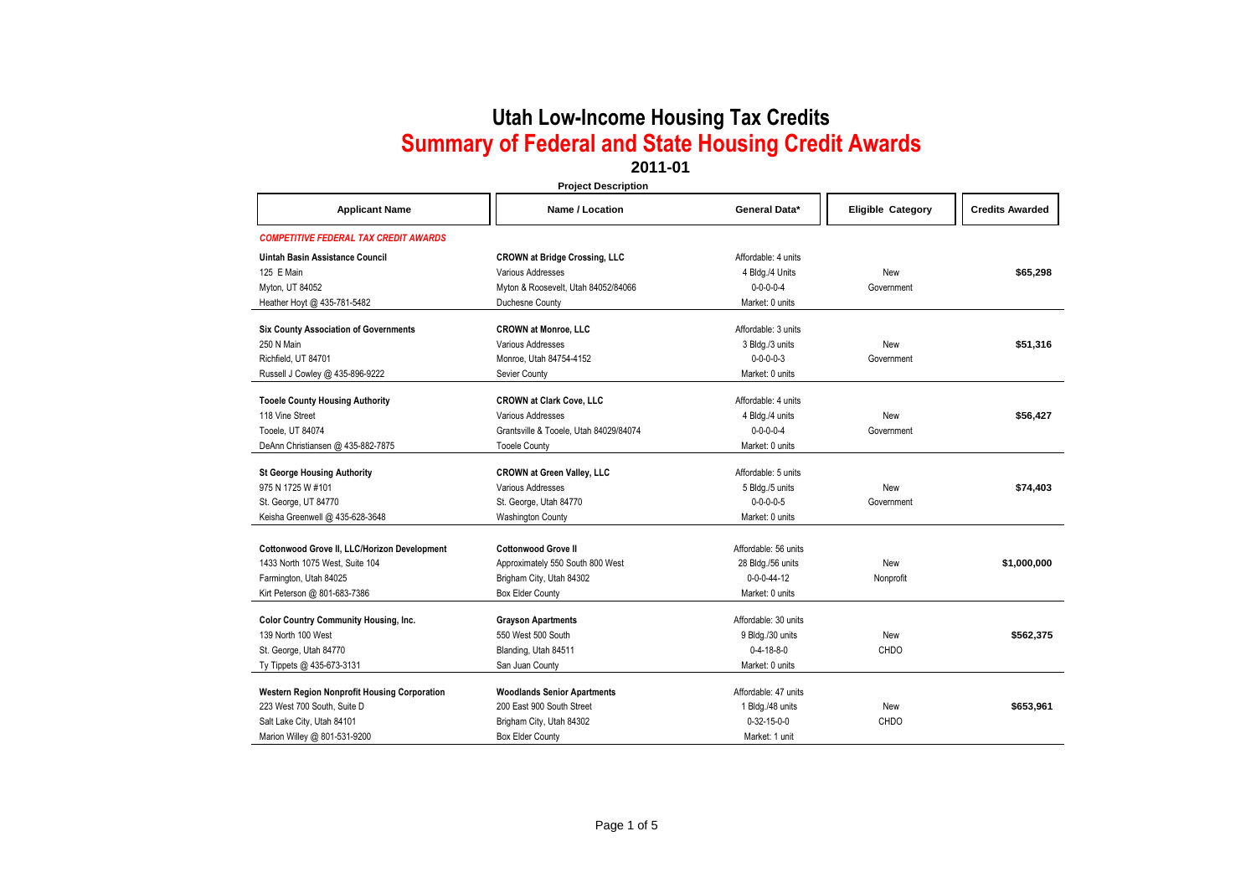#### **2011-01**

| <b>Project Description</b>                          |                                        |                       |                          |                        |
|-----------------------------------------------------|----------------------------------------|-----------------------|--------------------------|------------------------|
| <b>Applicant Name</b>                               | <b>Name / Location</b>                 | General Data*         | <b>Eligible Category</b> | <b>Credits Awarded</b> |
| <b>COMPETITIVE FEDERAL TAX CREDIT AWARDS</b>        |                                        |                       |                          |                        |
| Uintah Basin Assistance Council                     | <b>CROWN at Bridge Crossing, LLC</b>   | Affordable: 4 units   |                          |                        |
| 125 E Main                                          | Various Addresses                      | 4 Bldg./4 Units       | New                      | \$65,298               |
| Myton, UT 84052                                     | Myton & Roosevelt, Utah 84052/84066    | $0 - 0 - 0 - 0 - 4$   | Government               |                        |
| Heather Hoyt @ 435-781-5482                         | Duchesne County                        | Market: 0 units       |                          |                        |
| <b>Six County Association of Governments</b>        | <b>CROWN at Monroe, LLC</b>            | Affordable: 3 units   |                          |                        |
| 250 N Main                                          | Various Addresses                      | 3 Bldg./3 units       | New                      | \$51,316               |
| Richfield, UT 84701                                 | Monroe, Utah 84754-4152                | $0 - 0 - 0 - 3$       | Government               |                        |
| Russell J Cowley @ 435-896-9222                     | Sevier County                          | Market: 0 units       |                          |                        |
| <b>Tooele County Housing Authority</b>              | <b>CROWN at Clark Cove, LLC</b>        | Affordable: 4 units   |                          |                        |
| 118 Vine Street                                     | Various Addresses                      | 4 Bldg./4 units       | New                      | \$56,427               |
| Tooele, UT 84074                                    | Grantsville & Tooele, Utah 84029/84074 | $0 - 0 - 0 - 0 - 4$   | Government               |                        |
| DeAnn Christiansen @ 435-882-7875                   | <b>Tooele County</b>                   | Market: 0 units       |                          |                        |
| <b>St George Housing Authority</b>                  | <b>CROWN at Green Valley, LLC</b>      | Affordable: 5 units   |                          |                        |
| 975 N 1725 W #101                                   | Various Addresses                      | 5 Bldg./5 units       | New                      | \$74,403               |
| St. George, UT 84770                                | St. George, Utah 84770                 | $0 - 0 - 0 - 0 - 5$   | Government               |                        |
| Keisha Greenwell @ 435-628-3648                     | <b>Washington County</b>               | Market: 0 units       |                          |                        |
|                                                     |                                        |                       |                          |                        |
| Cottonwood Grove II, LLC/Horizon Development        | <b>Cottonwood Grove II</b>             | Affordable: 56 units  |                          |                        |
| 1433 North 1075 West, Suite 104                     | Approximately 550 South 800 West       | 28 Bldg./56 units     | New                      | \$1,000,000            |
| Farmington, Utah 84025                              | Brigham City, Utah 84302               | $0 - 0 - 0 - 44 - 12$ | Nonprofit                |                        |
| Kirt Peterson @ 801-683-7386                        | <b>Box Elder County</b>                | Market: 0 units       |                          |                        |
| <b>Color Country Community Housing, Inc.</b>        | <b>Grayson Apartments</b>              | Affordable: 30 units  |                          |                        |
| 139 North 100 West                                  | 550 West 500 South                     | 9 Bldg./30 units      | New                      | \$562,375              |
| St. George, Utah 84770                              | Blanding, Utah 84511                   | $0 - 4 - 18 - 8 - 0$  | CHDO                     |                        |
| Ty Tippets @ 435-673-3131                           | San Juan County                        | Market: 0 units       |                          |                        |
| <b>Western Region Nonprofit Housing Corporation</b> | <b>Woodlands Senior Apartments</b>     | Affordable: 47 units  |                          |                        |
| 223 West 700 South, Suite D                         | 200 East 900 South Street              | 1 Bldg./48 units      | New                      | \$653,961              |
| Salt Lake City, Utah 84101                          | Brigham City, Utah 84302               | $0 - 32 - 15 - 0 - 0$ | CHDO                     |                        |
| Marion Willey @ 801-531-9200                        | <b>Box Elder County</b>                | Market: 1 unit        |                          |                        |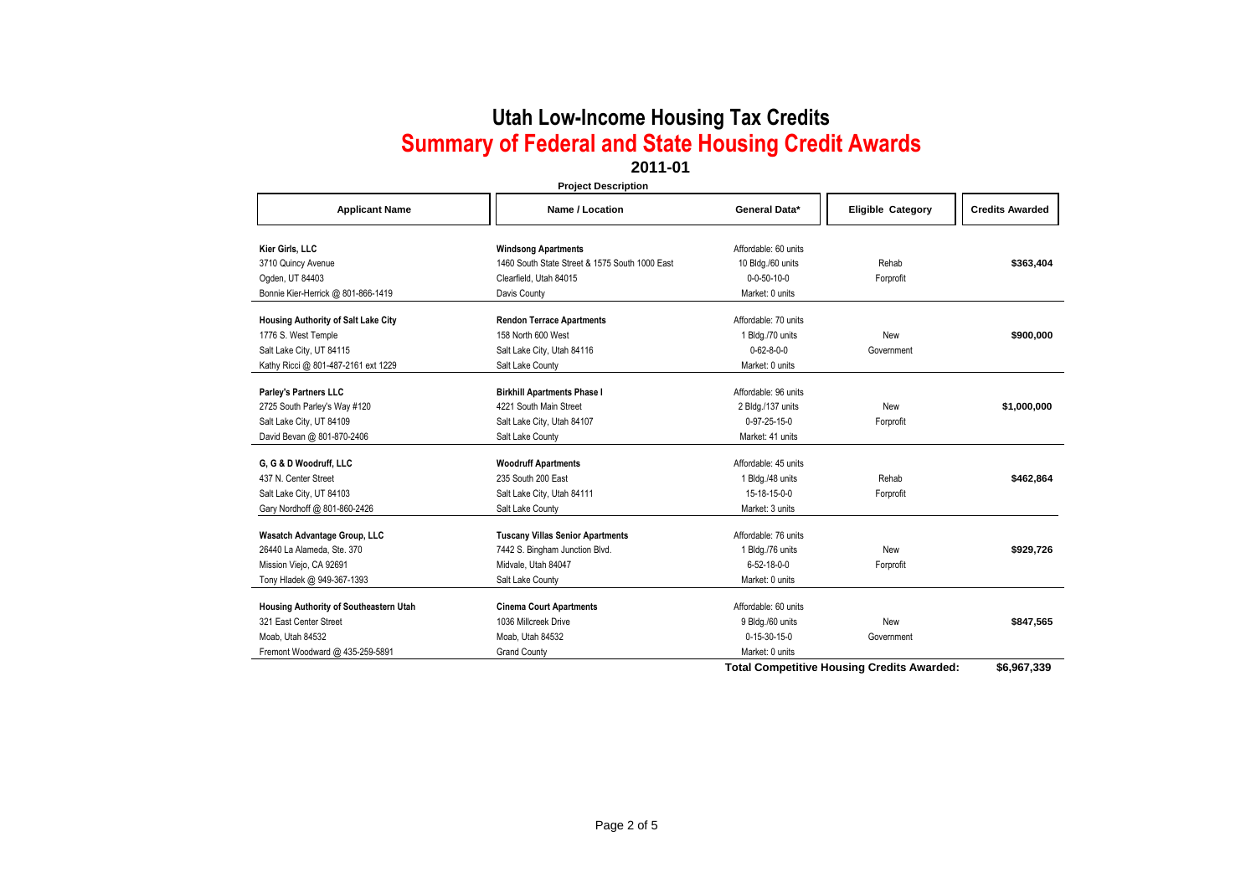### **2011-01**

**Project Description**

| <b>Applicant Name</b>                  | Name / Location                                | General Data*          | <b>Eligible Category</b>                          | <b>Credits Awarded</b> |
|----------------------------------------|------------------------------------------------|------------------------|---------------------------------------------------|------------------------|
| Kier Girls, LLC                        | <b>Windsong Apartments</b>                     | Affordable: 60 units   |                                                   |                        |
| 3710 Quincy Avenue                     | 1460 South State Street & 1575 South 1000 East | 10 Bldg./60 units      | Rehab                                             | \$363,404              |
| Ogden, UT 84403                        | Clearfield. Utah 84015                         | $0 - 0 - 50 - 10 - 0$  | Forprofit                                         |                        |
| Bonnie Kier-Herrick @ 801-866-1419     | Davis County                                   | Market: 0 units        |                                                   |                        |
| Housing Authority of Salt Lake City    | <b>Rendon Terrace Apartments</b>               | Affordable: 70 units   |                                                   |                        |
| 1776 S. West Temple                    | 158 North 600 West                             | 1 Bldg./70 units       | New                                               | \$900,000              |
| Salt Lake City, UT 84115               | Salt Lake City, Utah 84116                     | $0 - 62 - 8 - 0 - 0$   | Government                                        |                        |
| Kathy Ricci @ 801-487-2161 ext 1229    | Salt Lake County                               | Market: 0 units        |                                                   |                        |
| Parley's Partners LLC                  | <b>Birkhill Apartments Phase I</b>             | Affordable: 96 units   |                                                   |                        |
| 2725 South Parley's Way #120           | 4221 South Main Street                         | 2 Bldg./137 units      | New                                               | \$1,000,000            |
| Salt Lake City, UT 84109               | Salt Lake City, Utah 84107                     | 0-97-25-15-0           | Forprofit                                         |                        |
| David Bevan @ 801-870-2406             | Salt Lake County                               | Market: 41 units       |                                                   |                        |
| G, G & D Woodruff, LLC                 | <b>Woodruff Apartments</b>                     | Affordable: 45 units   |                                                   |                        |
| 437 N. Center Street                   | 235 South 200 East                             | 1 Bldg./48 units       | Rehab                                             | \$462,864              |
| Salt Lake City, UT 84103               | Salt Lake City, Utah 84111                     | 15-18-15-0-0           | Forprofit                                         |                        |
| Gary Nordhoff @ 801-860-2426           | Salt Lake County                               | Market: 3 units        |                                                   |                        |
| Wasatch Advantage Group, LLC           | <b>Tuscany Villas Senior Apartments</b>        | Affordable: 76 units   |                                                   |                        |
| 26440 La Alameda, Ste. 370             | 7442 S. Bingham Junction Blvd.                 | 1 Bldg./76 units       | New                                               | \$929,726              |
| Mission Viejo, CA 92691                | Midvale, Utah 84047                            | 6-52-18-0-0            | Forprofit                                         |                        |
| Tony Hladek @ 949-367-1393             | Salt Lake County                               | Market: 0 units        |                                                   |                        |
| Housing Authority of Southeastern Utah | <b>Cinema Court Apartments</b>                 | Affordable: 60 units   |                                                   |                        |
| 321 East Center Street                 | 1036 Millcreek Drive                           | 9 Bldg./60 units       | New                                               | \$847,565              |
| Moab, Utah 84532                       | Moab, Utah 84532                               | $0 - 15 - 30 - 15 - 0$ | Government                                        |                        |
| Fremont Woodward @ 435-259-5891        | <b>Grand County</b>                            | Market: 0 units        |                                                   |                        |
|                                        |                                                |                        | <b>Total Competitive Housing Credits Awarded:</b> | 46 QG7 33Q             |

**Total Competitive Housing Credits Awarded: \$6,967,339**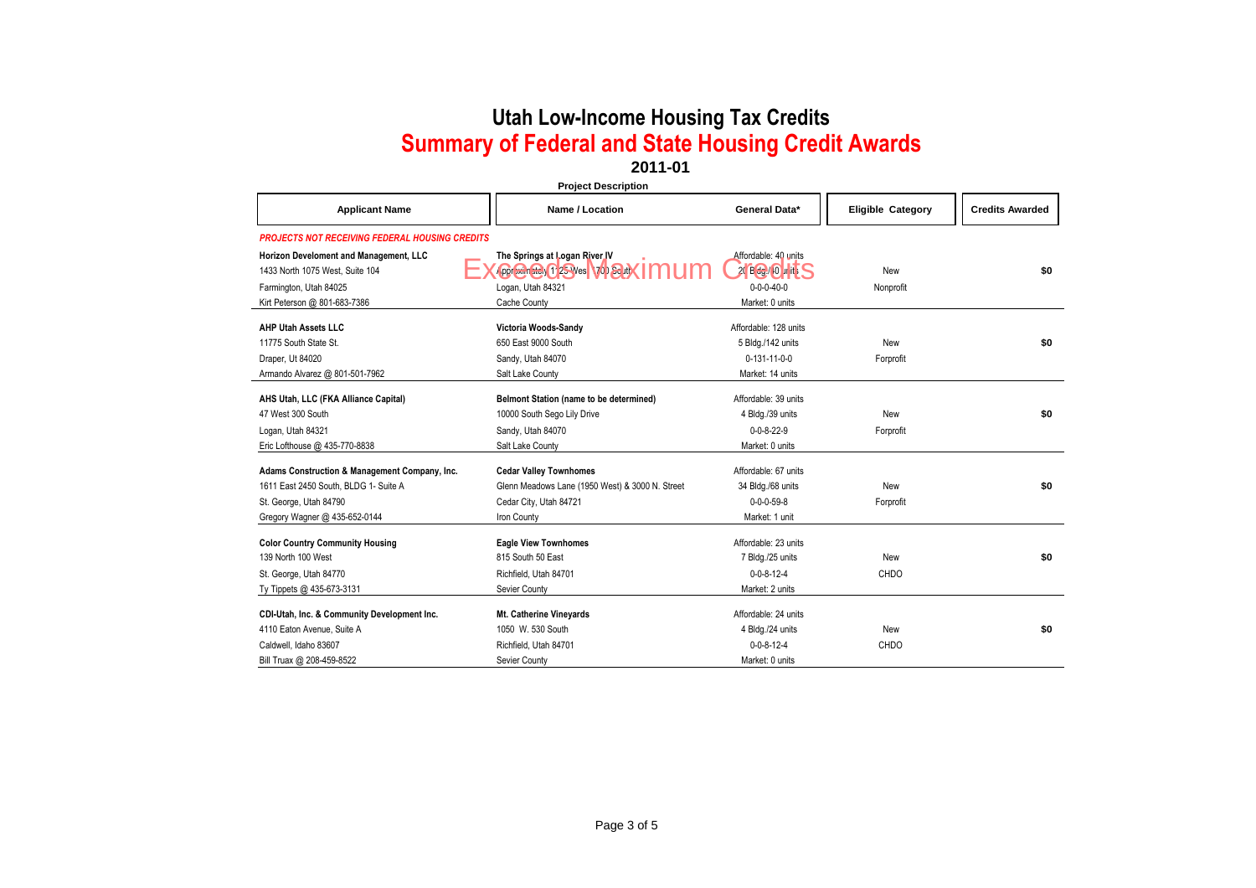**2011-01**

| <b>Project Description</b>                            |                                                 |                       |                          |                        |
|-------------------------------------------------------|-------------------------------------------------|-----------------------|--------------------------|------------------------|
| <b>Applicant Name</b>                                 | Name / Location                                 | General Data*         | <b>Eligible Category</b> | <b>Credits Awarded</b> |
| <b>PROJECTS NOT RECEIVING FEDERAL HOUSING CREDITS</b> |                                                 |                       |                          |                        |
| Horizon Develoment and Management, LLC                | The Springs at Logan River IV                   | Affordable: 40 units  |                          |                        |
| 1433 North 1075 West, Suite 104                       | <b>Oproducted 125 West 100 South</b>            | 20 BG 10 Init S       | New                      | \$0                    |
| Farmington, Utah 84025                                | Logan, Utah 84321                               | $0 - 0 - 0 - 40 - 0$  | Nonprofit                |                        |
| Kirt Peterson @ 801-683-7386                          | Cache County                                    | Market: 0 units       |                          |                        |
| <b>AHP Utah Assets LLC</b>                            | Victoria Woods-Sandy                            | Affordable: 128 units |                          |                        |
| 11775 South State St.                                 | 650 East 9000 South                             | 5 Bldg./142 units     | New                      | \$0                    |
| Draper, Ut 84020                                      | Sandy, Utah 84070                               | $0-131-11-0-0$        | Forprofit                |                        |
| Armando Alvarez @ 801-501-7962                        | Salt Lake County                                | Market: 14 units      |                          |                        |
| AHS Utah, LLC (FKA Alliance Capital)                  | Belmont Station (name to be determined)         | Affordable: 39 units  |                          |                        |
| 47 West 300 South                                     | 10000 South Sego Lily Drive                     | 4 Bldg./39 units      | New                      | \$0                    |
| Logan, Utah 84321                                     | Sandy, Utah 84070                               | $0 - 0 - 8 - 22 - 9$  | Forprofit                |                        |
| Eric Lofthouse @ 435-770-8838                         | Salt Lake County                                | Market: 0 units       |                          |                        |
| Adams Construction & Management Company, Inc.         | <b>Cedar Valley Townhomes</b>                   | Affordable: 67 units  |                          |                        |
| 1611 East 2450 South, BLDG 1- Suite A                 | Glenn Meadows Lane (1950 West) & 3000 N. Street | 34 Bldg./68 units     | New                      | \$0                    |
| St. George, Utah 84790                                | Cedar City, Utah 84721                          | $0 - 0 - 0 - 59 - 8$  | Forprofit                |                        |
| Gregory Wagner @ 435-652-0144                         | Iron County                                     | Market: 1 unit        |                          |                        |
| <b>Color Country Community Housing</b>                | <b>Eagle View Townhomes</b>                     | Affordable: 23 units  |                          |                        |
| 139 North 100 West                                    | 815 South 50 East                               | 7 Bldg./25 units      | New                      | \$0                    |
| St. George, Utah 84770                                | Richfield, Utah 84701                           | $0 - 0 - 8 - 12 - 4$  | CHDO                     |                        |
| Ty Tippets @ 435-673-3131                             | Sevier County                                   | Market: 2 units       |                          |                        |
| CDI-Utah, Inc. & Community Development Inc.           | Mt. Catherine Vineyards                         | Affordable: 24 units  |                          |                        |
| 4110 Eaton Avenue, Suite A                            | 1050 W. 530 South                               | 4 Bldg./24 units      | New                      | \$0                    |
| Caldwell, Idaho 83607                                 | Richfield, Utah 84701                           | $0 - 0 - 8 - 12 - 4$  | CHDO                     |                        |
| Bill Truax @ 208-459-8522                             | Sevier County                                   | Market: 0 units       |                          |                        |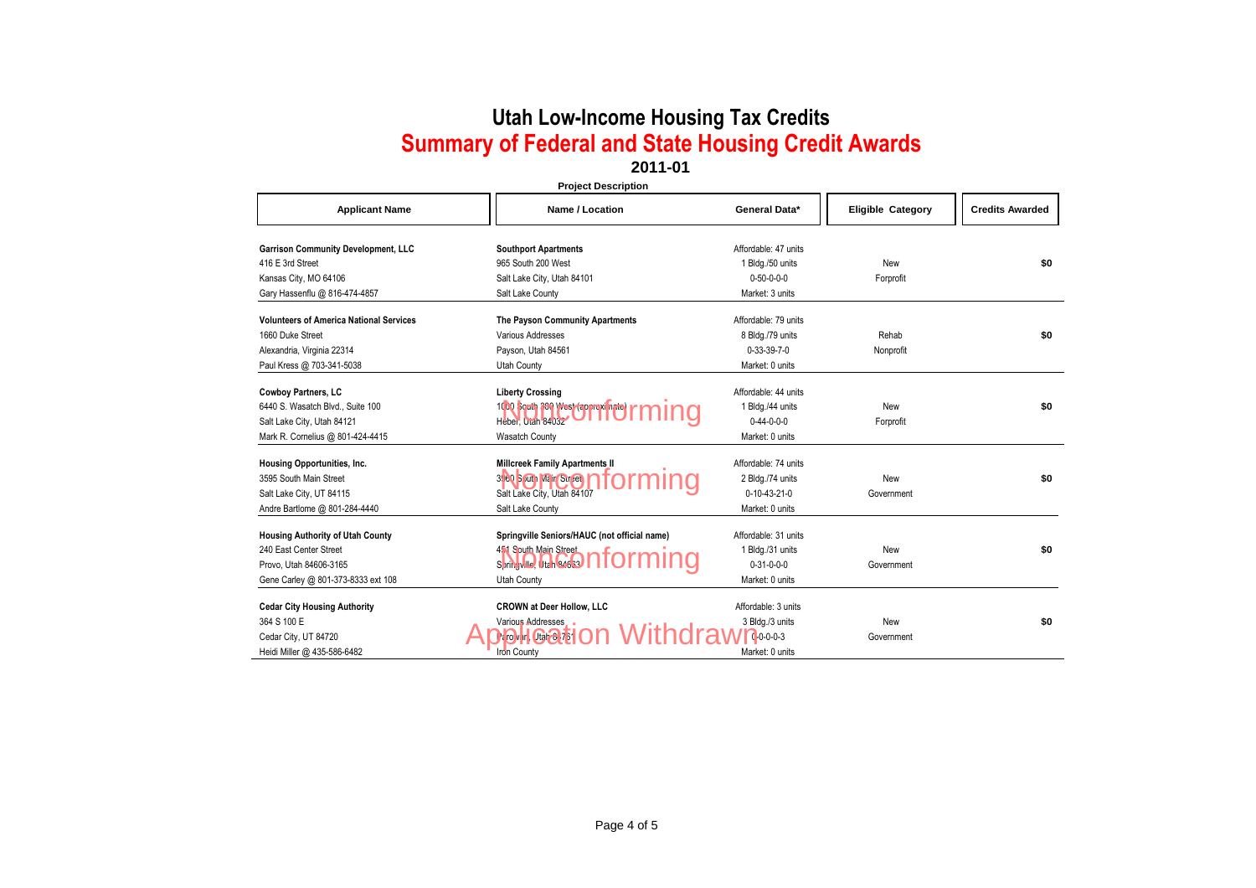### **2011-01**

**Project Description**

| <b>Applicant Name</b>                          | Name / Location                              | General Data*         | <b>Eligible Category</b> | <b>Credits Awarded</b> |
|------------------------------------------------|----------------------------------------------|-----------------------|--------------------------|------------------------|
| <b>Garrison Community Development, LLC</b>     | <b>Southport Apartments</b>                  | Affordable: 47 units  |                          |                        |
| 416 E 3rd Street                               | 965 South 200 West                           | 1 Bldg./50 units      | New                      | \$0                    |
| Kansas City, MO 64106                          | Salt Lake City, Utah 84101                   | $0 - 50 - 0 - 0 - 0$  | Forprofit                |                        |
| Gary Hassenflu @ 816-474-4857                  | Salt Lake County                             | Market: 3 units       |                          |                        |
| <b>Volunteers of America National Services</b> | The Payson Community Apartments              | Affordable: 79 units  |                          |                        |
| 1660 Duke Street                               | Various Addresses                            | 8 Bldg./79 units      | Rehab                    | \$0                    |
| Alexandria, Virginia 22314                     | Payson, Utah 84561                           | $0 - 33 - 39 - 7 - 0$ | Nonprofit                |                        |
| Paul Kress @ 703-341-5038                      | <b>Utah County</b>                           | Market: 0 units       |                          |                        |
| <b>Cowboy Partners, LC</b>                     | <b>Liberty Crossing</b>                      | Affordable: 44 units  |                          |                        |
| 6440 S. Wasatch Blvd., Suite 100               | 1000 South 300 West (approximate)            | 1 Bldg./44 units      | New                      | \$0                    |
| Salt Lake City, Utah 84121                     | Heber, Utah 84032                            | $0-44-0-0-0$          | Forprofit                |                        |
| Mark R. Cornelius @ 801-424-4415               | <b>Wasatch County</b>                        | Market: 0 units       |                          |                        |
| Housing Opportunities, Inc.                    | <b>Millcreek Family Apartments II</b>        | Affordable: 74 units  |                          |                        |
| 3595 South Main Street                         | 3.160 Sputh Main Street                      | 2 Bldg./74 units      | New                      | \$0                    |
| Salt Lake City, UT 84115                       | Salt Lake City, Utah 84107                   | $0-10-43-21-0$        | Government               |                        |
| Andre Bartlome @ 801-284-4440                  | Salt Lake County                             | Market: 0 units       |                          |                        |
| <b>Housing Authority of Utah County</b>        | Springville Seniors/HAUC (not official name) | Affordable: 31 units  |                          |                        |
| 240 East Center Street                         | 4.1 S outh Main Street                       | 1 Bldg./31 units      | New                      | \$0                    |
| Provo, Utah 84606-3165                         | Springville, Utah 84633                      | $0 - 31 - 0 - 0 - 0$  | Government               |                        |
| Gene Carley @ 801-373-8333 ext 108             | <b>Utah County</b>                           | Market: 0 units       |                          |                        |
|                                                |                                              |                       |                          |                        |
| <b>Cedar City Housing Authority</b>            | <b>CROWN at Deer Hollow, LLC</b>             | Affordable: 3 units   |                          |                        |
| 364 S 100 E                                    | Various Addresses                            | 3 Bldg./3 units       | New                      | \$0                    |
| Cedar City, UT 84720                           | Paroly in Utah C. 75                         | $0.0 - 0.3$           | Government               |                        |
| Heidi Miller @ 435-586-6482                    | <b>Iron County</b>                           | Market: 0 units       |                          |                        |